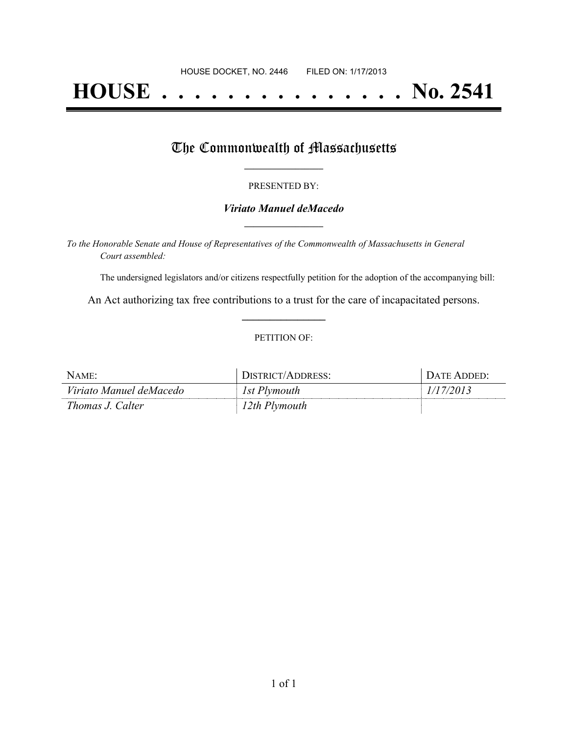# **HOUSE . . . . . . . . . . . . . . . No. 2541**

## The Commonwealth of Massachusetts

#### PRESENTED BY:

#### *Viriato Manuel deMacedo* **\_\_\_\_\_\_\_\_\_\_\_\_\_\_\_\_\_**

*To the Honorable Senate and House of Representatives of the Commonwealth of Massachusetts in General Court assembled:*

The undersigned legislators and/or citizens respectfully petition for the adoption of the accompanying bill:

An Act authorizing tax free contributions to a trust for the care of incapacitated persons. **\_\_\_\_\_\_\_\_\_\_\_\_\_\_\_**

#### PETITION OF:

| NAME:                   | DISTRICT/ADDRESS: | + DATE ADDED: |
|-------------------------|-------------------|---------------|
| Viriato Manuel deMacedo | 1st Plymouth      | 1/17/2013     |
| Thomas J. Calter        | 12th Plymouth     |               |